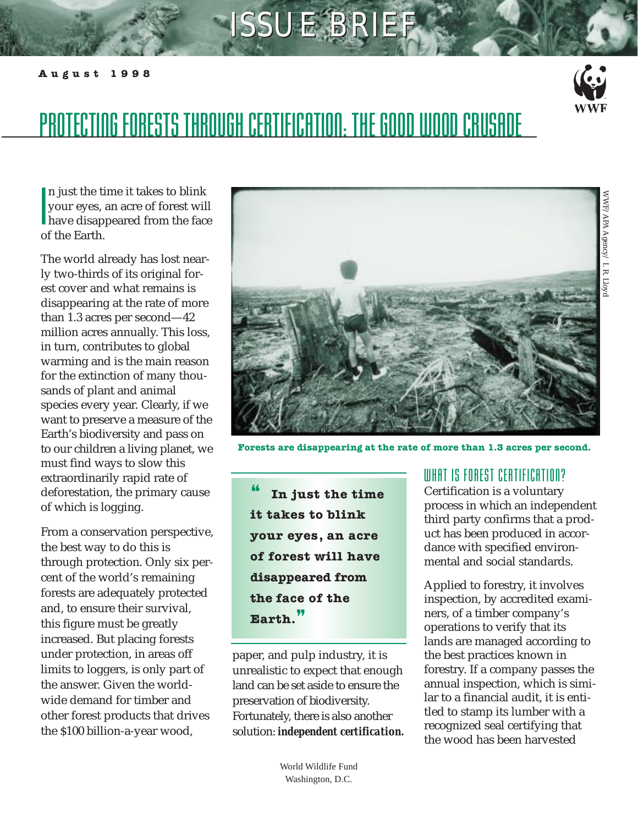# **ISSUE BRIEF**

#### **August 1998**



## PROTECTING FORESTS THROUGH CERTIFICATION: THE GOOD WOOD CRUSADE

l<br>I<br>O n just the time it takes to blink your eyes, an acre of forest will have disappeared from the face of the Earth.

The world already has lost nearly two-thirds of its original forest cover and what remains is disappearing at the rate of more than 1.3 acres per second—42 million acres annually. This loss, in turn, contributes to global warming and is the main reason for the extinction of many thousands of plant and animal species every year. Clearly, if we want to preserve a measure of the Earth's biodiversity and pass on to our children a living planet, we must find ways to slow this extraordinarily rapid rate of deforestation, the primary cause of which is logging.

From a conservation perspective, the best way to do this is through protection. Only six percent of the world's remaining forests are adequately protected and, to ensure their survival, this figure must be greatly increased. But placing forests under protection, in areas off limits to loggers, is only part of the answer. Given the worldwide demand for timber and other forest products that drives the \$100 billion-a-year wood,



**Forests are disappearing at the rate of more than 1.3 acres per second.**

❝ **In just the time it takes to blink your eyes, an acre of forest will have disappeared from the face of the Earth.**❞

paper, and pulp industry, it is unrealistic to expect that enough land can be set aside to ensure the preservation of biodiversity. Fortunately, there is also another solution: *independent certification.*

## WHAT IS FOREST CERTIFICATION?

Certification is a voluntary process in which an independent third party confirms that a product has been produced in accordance with specified environmental and social standards.

Applied to forestry, it involves inspection, by accredited examiners, of a timber company's operations to verify that its lands are managed according to the best practices known in forestry. If a company passes the annual inspection, which is similar to a financial audit, it is entitled to stamp its lumber with a recognized seal certifying that the wood has been harvested

World Wildlife Fund Washington, D.C.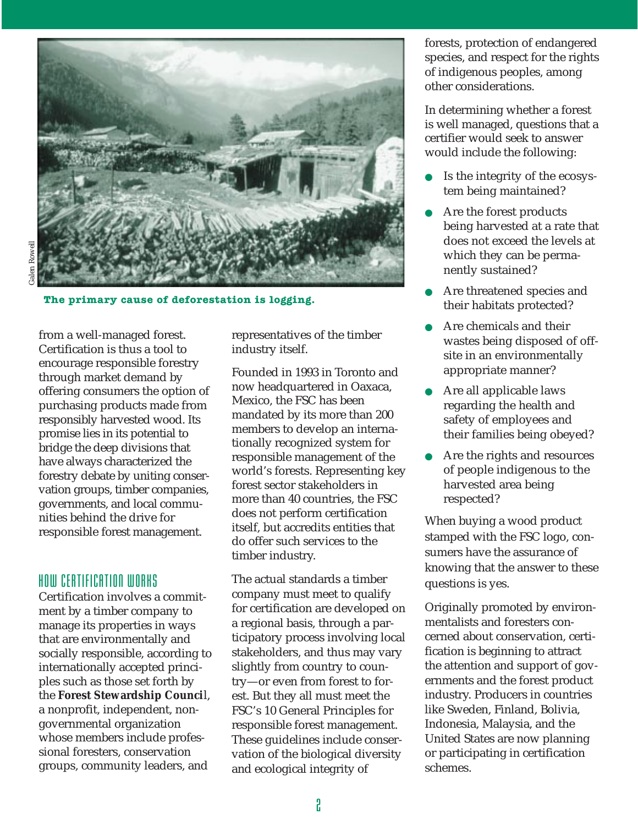

**The primary cause of deforestation is logging.**

from a well-managed forest. Certification is thus a tool to encourage responsible forestry through market demand by offering consumers the option of purchasing products made from responsibly harvested wood. Its promise lies in its potential to bridge the deep divisions that have always characterized the forestry debate by uniting conservation groups, timber companies, governments, and local communities behind the drive for responsible forest management.

## HOW CERTIFICATION WORKS

Certification involves a commitment by a timber company to manage its properties in ways that are environmentally and socially responsible, according to internationally accepted principles such as those set forth by the **Forest Stewardship Counci**l, a nonprofit, independent, nongovernmental organization whose members include professional foresters, conservation groups, community leaders, and

representatives of the timber industry itself.

Founded in 1993 in Toronto and now headquartered in Oaxaca, Mexico, the FSC has been mandated by its more than 200 members to develop an internationally recognized system for responsible management of the world's forests. Representing key forest sector stakeholders in more than 40 countries, the FSC does not perform certification itself, but accredits entities that do offer such services to the timber industry.

The actual standards a timber company must meet to qualify for certification are developed on a regional basis, through a participatory process involving local stakeholders, and thus may vary slightly from country to country—or even from forest to forest. But they all must meet the FSC's 10 General Principles for responsible forest management. These guidelines include conservation of the biological diversity and ecological integrity of

forests, protection of endangered species, and respect for the rights of indigenous peoples, among other considerations.

In determining whether a forest is well managed, questions that a certifier would seek to answer would include the following:

- Is the integrity of the ecosystem being maintained?
- Are the forest products being harvested at a rate that does not exceed the levels at which they can be permanently sustained?
- Are threatened species and their habitats protected?
- Are chemicals and their wastes being disposed of offsite in an environmentally appropriate manner?
- Are all applicable laws regarding the health and safety of employees and their families being obeyed?
- Are the rights and resources of people indigenous to the harvested area being respected?

When buying a wood product stamped with the FSC logo, consumers have the assurance of knowing that the answer to these questions is yes.

Originally promoted by environmentalists and foresters concerned about conservation, certification is beginning to attract the attention and support of governments and the forest product industry. Producers in countries like Sweden, Finland, Bolivia, Indonesia, Malaysia, and the United States are now planning or participating in certification schemes.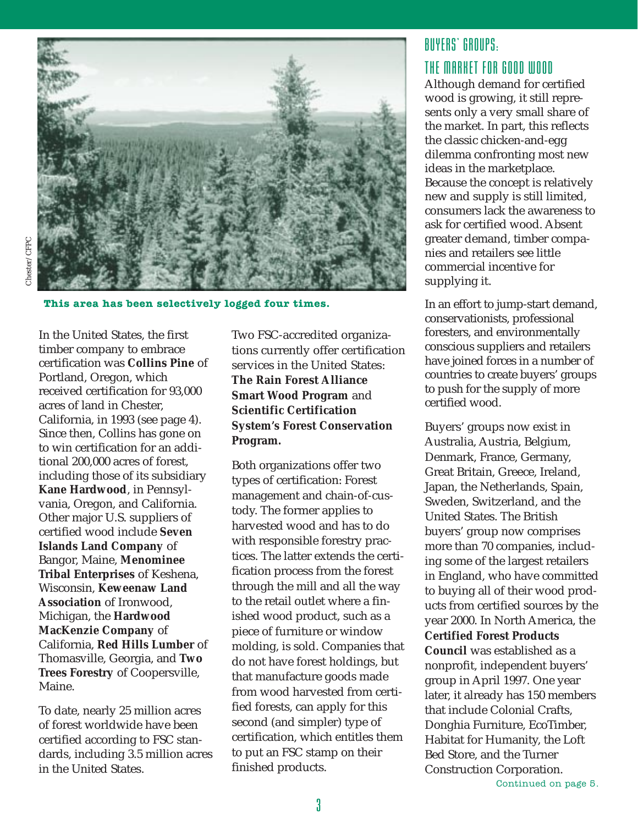

**This area has been selectively logged four times.**

In the United States, the first timber company to embrace certification was **Collins Pine** of Portland, Oregon, which received certification for 93,000 acres of land in Chester, California, in 1993 (see page 4). Since then, Collins has gone on to win certification for an additional 200,000 acres of forest, including those of its subsidiary **Kane Hardwood**, in Pennsylvania, Oregon, and California. Other major U.S. suppliers of certified wood include **Seven Islands Land Company** of Bangor, Maine, **Menominee Tribal Enterprises** of Keshena, Wisconsin, **Keweenaw Land Association** of Ironwood, Michigan, the **Hardwood MacKenzie Company** of California, **Red Hills Lumber** of Thomasville, Georgia, and **Two Trees Forestry** of Coopersville, Maine.

To date, nearly 25 million acres of forest worldwide have been certified according to FSC standards, including 3.5 million acres in the United States.

Two FSC-accredited organizations currently offer certification services in the United States: **The Rain Forest Alliance Smart Wood Program** and **Scientific Certification System's Forest Conservation Program.**

Both organizations offer two types of certification: Forest management and chain-of-custody. The former applies to harvested wood and has to do with responsible forestry practices. The latter extends the certification process from the forest through the mill and all the way to the retail outlet where a finished wood product, such as a piece of furniture or window molding, is sold. Companies that do not have forest holdings, but that manufacture goods made from wood harvested from certified forests, can apply for this second (and simpler) type of certification, which entitles them to put an FSC stamp on their finished products.

## BUYERS' GROUPS: THE MARKET FOR GOOD WOOD

Although demand for certified wood is growing, it still represents only a very small share of the market. In part, this reflects the classic chicken-and-egg dilemma confronting most new ideas in the marketplace. Because the concept is relatively new and supply is still limited, consumers lack the awareness to ask for certified wood. Absent greater demand, timber companies and retailers see little commercial incentive for supplying it.

In an effort to jump-start demand, conservationists, professional foresters, and environmentally conscious suppliers and retailers have joined forces in a number of countries to create buyers' groups to push for the supply of more certified wood.

Buyers' groups now exist in Australia, Austria, Belgium, Denmark, France, Germany, Great Britain, Greece, Ireland, Japan, the Netherlands, Spain, Sweden, Switzerland, and the United States. The British buyers' group now comprises more than 70 companies, including some of the largest retailers in England, who have committed to buying all of their wood products from certified sources by the year 2000. In North America, the **Certified Forest Products Council** was established as a nonprofit, independent buyers' group in April 1997. One year later, it already has 150 members that include Colonial Crafts, Donghia Furniture, EcoTimber, Habitat for Humanity, the Loft Bed Store, and the Turner Construction Corporation.

Continued on page 5.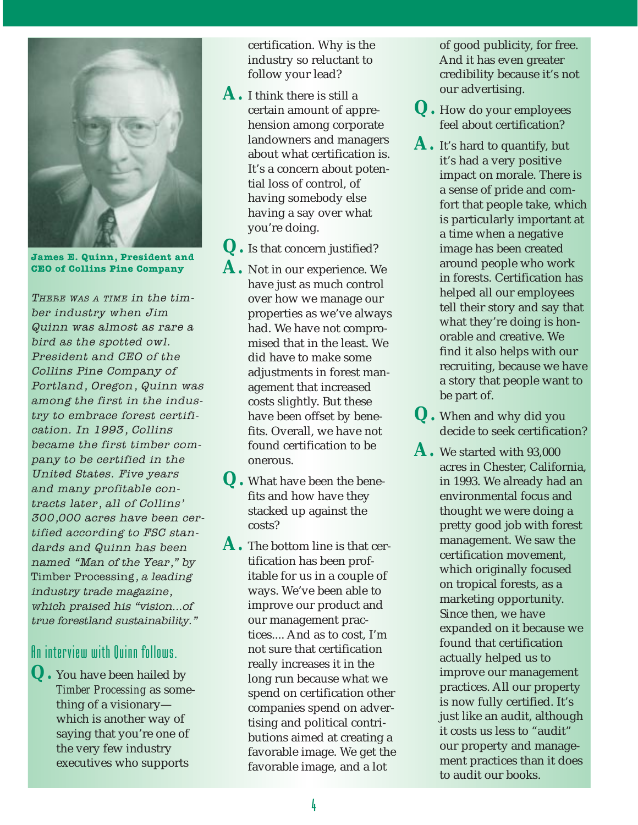

**James E. Quinn, President and CEO of Collins Pine Company**

THERE WAS A TIME in the timber industry when Jim Quinn was almost as rare a bird as the spotted owl. President and CEO of the Collins Pine Company of Portland, Oregon, Quinn was among the first in the industry to embrace forest certification. In 1993, Collins became the first timber company to be certified in the United States. Five years and many profitable contracts later, all of Collins' 300,000 acres have been certified according to FSC standards and Quinn has been named "Man of the Year," by Timber Processing, a leading industry trade magazine, which praised his "vision...of true forestland sustainability."

## An interview with Quinn follows.

**Q.** You have been hailed by *Timber Processing* as something of a visionary which is another way of saying that you're one of the very few industry executives who supports

certification. Why is the industry so reluctant to follow your lead?

**A.** I think there is still a certain amount of apprehension among corporate landowners and managers about what certification is. It's a concern about potential loss of control, of having somebody else having a say over what you're doing.

**Q.** Is that concern justified?

- **A.** Not in our experience. We have just as much control over how we manage our properties as we've always had. We have not compromised that in the least. We did have to make some adjustments in forest management that increased costs slightly. But these have been offset by benefits. Overall, we have not found certification to be onerous.
- **Q.** What have been the benefits and how have they stacked up against the costs?
- **A.** The bottom line is that certification has been profitable for us in a couple of ways. We've been able to improve our product and our management practices.... And as to cost, I'm not sure that certification really increases it in the long run because what we spend on certification other companies spend on advertising and political contributions aimed at creating a favorable image. We get the favorable image, and a lot

of good publicity, for free. And it has even greater credibility because it's not our advertising.

- **Q.** How do your employees feel about certification?
- **A.** It's hard to quantify, but it's had a very positive impact on morale. There is a sense of pride and comfort that people take, which is particularly important at a time when a negative image has been created around people who work in forests. Certification has helped all our employees tell their story and say that what they're doing is honorable and creative. We find it also helps with our recruiting, because we have a story that people want to be part of.
- **Q.** When and why did you decide to seek certification?
- **A.** We started with 93,000 acres in Chester, California, in 1993. We already had an environmental focus and thought we were doing a pretty good job with forest management. We saw the certification movement, which originally focused on tropical forests, as a marketing opportunity. Since then, we have expanded on it because we found that certification actually helped us to improve our management practices. All our property is now fully certified. It's just like an audit, although it costs us less to "audit" our property and management practices than it does to audit our books.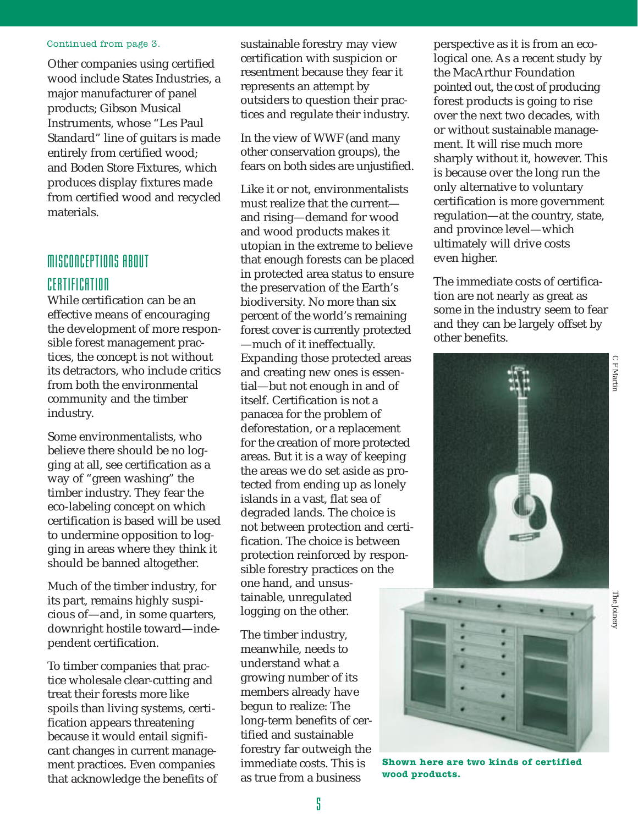#### Continued from page 3.

Other companies using certified wood include States Industries, a major manufacturer of panel products; Gibson Musical Instruments, whose "Les Paul Standard" line of guitars is made entirely from certified wood; and Boden Store Fixtures, which produces display fixtures made from certified wood and recycled materials.

## MISCONCEPTIONS ABOUT CERTIFICATION

While certification can be an effective means of encouraging the development of more responsible forest management practices, the concept is not without its detractors, who include critics from both the environmental community and the timber industry.

Some environmentalists, who believe there should be no logging at all, see certification as a way of "green washing" the timber industry. They fear the eco-labeling concept on which certification is based will be used to undermine opposition to logging in areas where they think it should be banned altogether.

Much of the timber industry, for its part, remains highly suspicious of—and, in some quarters, downright hostile toward—independent certification.

To timber companies that practice wholesale clear-cutting and treat their forests more like spoils than living systems, certification appears threatening because it would entail significant changes in current management practices. Even companies that acknowledge the benefits of sustainable forestry may view certification with suspicion or resentment because they fear it represents an attempt by outsiders to question their practices and regulate their industry.

In the view of WWF (and many other conservation groups), the fears on both sides are unjustified.

Like it or not, environmentalists must realize that the current and rising—demand for wood and wood products makes it utopian in the extreme to believe that enough forests can be placed in protected area status to ensure the preservation of the Earth's biodiversity. No more than six percent of the world's remaining forest cover is currently protected —much of it ineffectually. Expanding those protected areas and creating new ones is essential—but not enough in and of itself. Certification is not a panacea for the problem of deforestation, or a replacement for the creation of more protected areas. But it is a way of keeping the areas we do set aside as protected from ending up as lonely islands in a vast, flat sea of degraded lands. The choice is not between protection and certification. The choice is between protection reinforced by responsible forestry practices on the one hand, and unsustainable, unregulated logging on the other.

The timber industry, meanwhile, needs to understand what a growing number of its members already have begun to realize: The long-term benefits of certified and sustainable forestry far outweigh the immediate costs. This is as true from a business

perspective as it is from an ecological one. As a recent study by the MacArthur Foundation pointed out, the cost of producing forest products is going to rise over the next two decades, with or without sustainable management. It will rise much more sharply without it, however. This is because over the long run the only alternative to voluntary certification is more government regulation—at the country, state, and province level—which ultimately will drive costs even higher.

The immediate costs of certification are not nearly as great as some in the industry seem to fear and they can be largely offset by other benefits.





**Shown here are two kinds of certified wood products.**

C F Martin